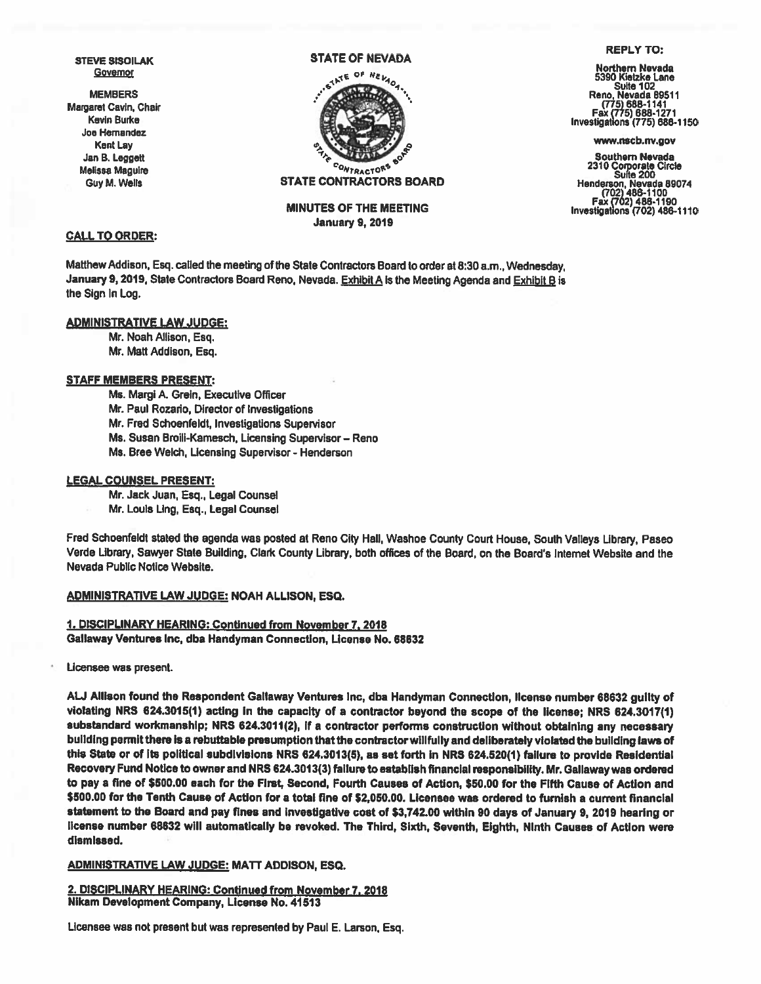STEVE SISOILAK **Governor** 

MEMBERS Margaret Cavin, Chair Kevin Burke Joe Hemandez Kent Lay Jan B. Leggeft Melissa Maguire Guy M. Wells

# STATE OF NEVADA



STATE CONTRACTORS BOARD

MINUTES OF THE MEETING January 9, 2019

# CALL TO ORDER:

Matthew Addison, Esq. called the meeting of the State Contractors Board to order at 8:30 a.m., Wednesday. January 9, 2019, State Contractors Board Reno, Nevada. Exhibit A is the Meeting Agenda and Exhibit B is the Sign In Log.

# ADMINISTRATIVE LAW JUDGE:

Mr. Noah Allison, Esq. Mr. Matt Addison, Esq.

#### STAFF MEMBERS PRESENT:

Ms. Margi A. Grein, Executive Officer Mr. Paul Rozario, Director of Investigations Mr. Fred Schoenfeldt, Investigations Supervisor Ms. Susan BroiIi-Kamesch, Licensing Supervisor — Reno Ms. Bree Welch, Licensing Supervisor - Henderson

#### LEGAL COUNSEL PRESENT:

Mr. Jack Juan, Esq., Legal Counsel Mr. Louis Ung, Esq., Legal Counsel

Fred Schoenfeldt stated the agenda was posted at Reno City Hall, Washoe County Court House, South Valleys Library, Paseo Verde Library, Sawyer State Building, Clark County Library, both offices of the Board, on the Board's Internet Website and the Nevada Public Notice Website.

### ADMINISTRATIVE LAW JUDGE: NOAH ALLISON, ESQ.

1. DISCIPLINARY HEARING: Continued from November 7, 2018 Gallaway Ventures Inc, dba Handyman Connection, License No. 68632

Licensee was present.

AU Allison found the Respondent Gallaway Ventures mc, dba Handyman Connection, license number <sup>68632</sup> guilty of violating NRS 624.3015(1) acting in the capacity of a contractor beyond the scope of the license; NRS 624.3017(1) substandard workmanship; NRS 624.3011(2), if <sup>a</sup> contractor performs construction without obtaining any necessary building permit there is a rebuttable presumption that the contractor willfully and deliberately violated the building laws of this State or of its political subdivisions NRS 624.3013(5). as set forth in NRS 624.520(1) failure to provide Residential Recovery Fund Notice to owner and NRS 624.3013(3) faIlure to establish financial responsibility. Mr. Galiaway was ordered to pay <sup>a</sup> fine of \$500.00 each for the First, Second, Fourth Causes of Action, \$50.00 for the Fifth Cause of Action and \$500.00 for the Tenth Cause of Action for <sup>a</sup> total fine of \$2,050.00. Licensee was ordered to funish <sup>a</sup> current financial statement to the Board and pay fines and investigative cost of \$3,742.00 wIthin <sup>90</sup> days of January 9, <sup>2019</sup> hearing or license number <sup>68632</sup> wIll automatically be revoked. The Third, Sixth, Seventh, Eighth, Ninth Causes of Action were dismissed.

### ADMINISTRATIVE LAW JUDGE: MATT ADDISON, ESQ.

2. DISCIPLINARY HEARING: Continued from November 7, 2018 Nikam Development Company, License No. 41513

Licensee was not present but was represented by Paul E. Larson, Esq.

#### REPLY To:

Northern Nevada 5390 Kietzke Lane Suite 102<br>Reno, Nevada 89511 (775) 688-1141 Fax (775) 688-1271 Investigations (775) 638-1150

www.nscb.nv.gov

Southern Nevada <sup>2310</sup> Corporate Circle Suite <sup>200</sup> Henderson, Nevada 69074 (702) 486-1100 Fax (702) 486-1190 Investig abons (702) 466-1110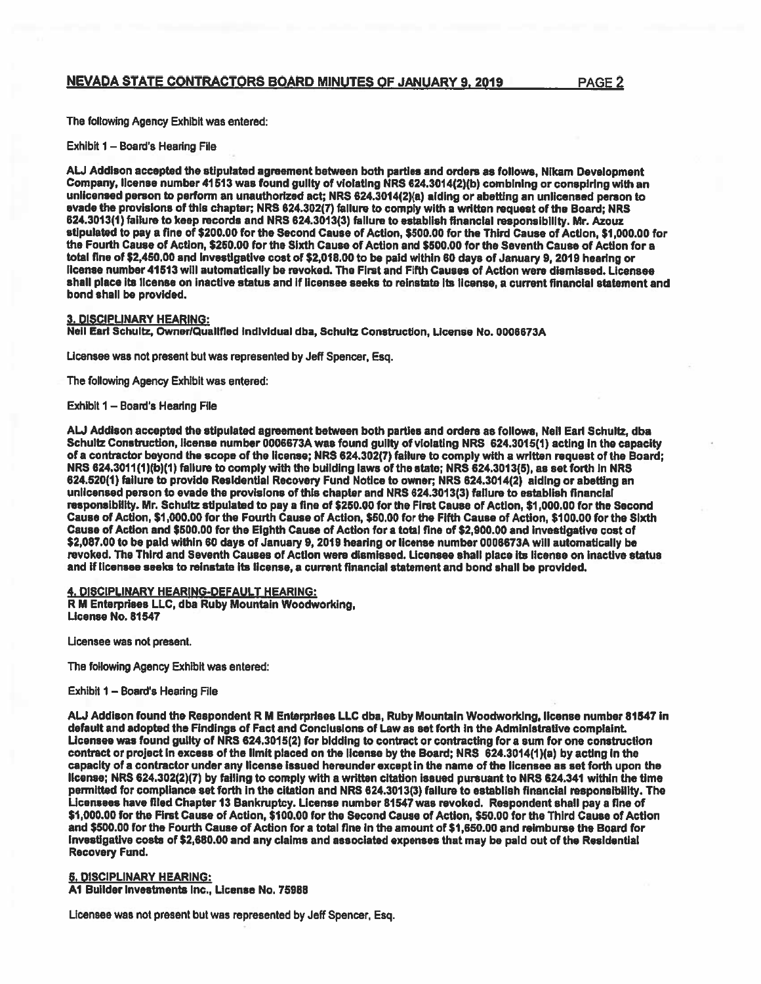# NEVADA STATE CONTRACTORS BOARD MINUTES OF JANUARY 9. 2019 PAGE 2

The following Agency Exhibit was entered:

Exhibit 1 — Board's Hearing File

AU Addison accepted the stipulated agreemen<sup>t</sup> between both parties and orders as follows, Nikam Development Company, license number <sup>41513</sup> was found guilty of violating NRS 624.3014(2)(b) combining or conspiring with an unlicensed person to perform an unauthorized act; NRS 624.3014(2)(a) aiding or abetting an unlicensed person to evade the provisions of this chapter; NRS 624.302(7) faIlure to comply with <sup>a</sup> written reques<sup>t</sup> of the Board; NRS 624.3013(1) failure to keep records and NRS 624.3013(3) failure to establish financial responsibility. Mr. Azouz stipulated to pay <sup>a</sup> fine of \$200.00 for the Second Cause of Action, \$500.00 for the Third Cause of Action, \$1,000.00 for the Fourth Cause of Action, \$250.00 for the Sixth Cause of Action and \$500.00 for the Seventh Cause of Action for <sup>a</sup> total fine of \$2,450.00 and investigative cost of \$2,018.00 to be paid within 60 days of January 9, 2019 hearing or license number 41513 will automatically be revoked. The First and Fifth Causes of Action were dismissed. Licensee shall place its license on inactive status and if licensee seeks to reinstate Its license, <sup>a</sup> current financial statement and bond shall be provided.

### 3. DISCIPLINARY HEARING:

Neil Earl Schultz, Owner/Qualified individual dba, Schultz Construction, License No. 0006673A

Licensee was not presen<sup>t</sup> but was represented by Jeff Spencer, Esq.

The following Agency Exhibit was entered:

Exhibit 1 - Board's Hearing File

AU Addison accepted the stipulated agreemen<sup>t</sup> between both parties and orders as follows, Neil Earl Schultz, dba Schultz Construction, license number 0006673A was found guilty of violating NRS 624.3015(1) acting in the capacity of <sup>a</sup> contractor beyond the scope of the license; NRS 624.302(7) failure to comply with <sup>a</sup> written reques<sup>t</sup> of the Board; NRS 624.3011(1)(b)(1) failure to comply with the building laws of the state; NRS 624.3013(5), as set forth in NRS 624.520(1) failure to provide Residential Recovery Fund Notice to owner; NRS 624.3014(2) aiding or abetting an unlicensed person to evade the provisions of this chapter and NRS 624.3013(3) failure to establish financial responsibility. Mr. Schultz stipulated to pay <sup>a</sup> fine of \$250.00 for the First Cause of Action, \$1,000.00 for the Second Cause of Action, \$1,000.00 for the Fourth Cause of Action, \$50.00 for the Fifth Cause of Action, \$100.00 for the Sixth Cause of Action and \$500.00 for the Eighth Cause of Action for <sup>a</sup> total fine of \$2,900.00 and investigative cost of \$2,087.00 to be paid within 60 days of January 9, 2019 hearing or license number 0006673A will automatically be revoked. The Third and Seventh Causes of Action were dismissed. Licensee shall place its license on inactive status and if licensee seeks to reinstate its license, <sup>a</sup> current financial statement and bond shall be provided.

4. DISCIPLINARY HEARING-DEFAULT HEARING:

<sup>R</sup> <sup>M</sup> Enterprises LLC, dba Ruby Mountain Woodworking, License No. 61547

Licensee was not present.

The following Agency Exhibit was entered:

Exhibit 1 — Board's Hearing File

AU Addison found the Respondent <sup>R</sup> <sup>M</sup> Enterprises LLC dba, Ruby Mountain Woodworking, license number 81547 in default and adopted the Findings of Fact and Conclusions of Law as set forth in the Administrative complaint. Licensee was found guilty of NRS 624.3015(2) for bidding to contract or contracting for <sup>a</sup> sum for one construction contract or project in excess of the limit placed on the license by the Board; NRS 624.3014(1)(a) by acting In the capacity of <sup>a</sup> contractor under any license issued hereunder excep<sup>t</sup> in the name of the licensee as set forth upon the license; NRS 624.302(2)(7) by failing to comply with <sup>a</sup> written citation issued pursuan<sup>t</sup> to NRS 624.341 wIthin the time permitted for compliance set forth in the citation and NRS 624.3013(3) failure to establish financial responsibility. The Licensees have flied Chapter 13 Bankruptcy. License number 81547 was revoked. Respondent shall pay <sup>a</sup> fine of \$1,000.00 for the First Cause of Action, \$100.00 for the Second Cause of Action, \$50.00 for the Third Cause of Action and \$500.00 for the Fourth Cause of Action for <sup>a</sup> total fine in the amount of \$1,650.00 and reimburse the Board for Investigative costs of \$2,680.00 and any claims and associated expenses that may be paid out of the Residential Recovery Fund.

5. DISCIPLINARY HEARING:

Al Builder Investments Inc., License No. 75968

Licensee was not presen<sup>t</sup> but was represented by Jeff Spencer, Esq.